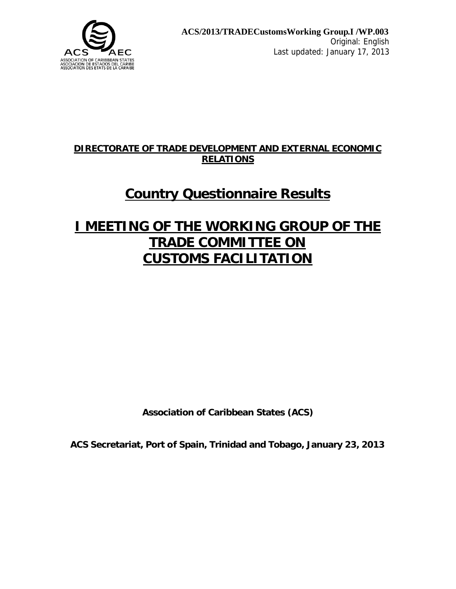

## **DIRECTORATE OF TRADE DEVELOPMENT AND EXTERNAL ECONOMIC RELATIONS**

# **Country Questionnaire Results**

# **I MEETING OF THE WORKING GROUP OF THE TRADE COMMITTEE ON CUSTOMS FACILITATION**

**Association of Caribbean States (ACS)**

**ACS Secretariat, Port of Spain, Trinidad and Tobago, January 23, 2013**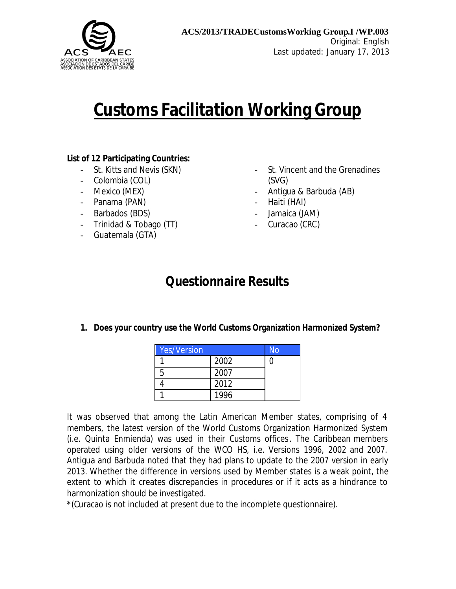

# **Customs Facilitation Working Group**

#### **List of 12 Participating Countries:**

- St. Kitts and Nevis (SKN)
- Colombia (COL)
- Mexico (MEX)
- Panama (PAN)
- Barbados (BDS)
- Trinidad & Tobago (TT)
- Guatemala (GTA)
- St. Vincent and the Grenadines (SVG)
- Antigua & Barbuda (AB)
- Haiti (HAI)
- Jamaica (JAM)
- Curacao (CRC)

## **Questionnaire Results**

**1. Does your country use the World Customs Organization Harmonized System?**

| <b>Yes/Version</b> |      | No |
|--------------------|------|----|
|                    | 2002 |    |
| 5                  | 2007 |    |
|                    | 2012 |    |
|                    | 1996 |    |

It was observed that among the Latin American Member states, comprising of 4 members, the latest version of the World Customs Organization Harmonized System (i.e. Quinta Enmienda) was used in their Customs offices. The Caribbean members operated using older versions of the WCO HS, i.e. Versions 1996, 2002 and 2007. Antigua and Barbuda noted that they had plans to update to the 2007 version in early 2013. Whether the difference in versions used by Member states is a weak point, the extent to which it creates discrepancies in procedures or if it acts as a hindrance to harmonization should be investigated.

\*(Curacao is not included at present due to the incomplete questionnaire).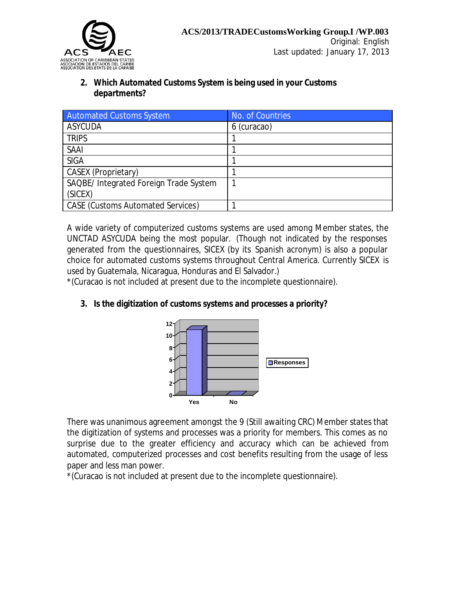

#### **2. Which Automated Customs System is being used in your Customs departments?**

| <b>Automated Customs System</b>          | No. of Countries |
|------------------------------------------|------------------|
| <b>ASYCUDA</b>                           | 6 (curacao)      |
| <b>TRIPS</b>                             |                  |
| <b>SAAI</b>                              |                  |
| <b>SIGA</b>                              |                  |
| CASEX (Proprietary)                      |                  |
| SAQBE/ Integrated Foreign Trade System   |                  |
| (SICEX)                                  |                  |
| <b>CASE (Customs Automated Services)</b> |                  |

A wide variety of computerized customs systems are used among Member states, the UNCTAD ASYCUDA being the most popular. (Though not indicated by the responses generated from the questionnaires, SICEX (by its Spanish acronym) is also a popular choice for automated customs systems throughout Central America. Currently SICEX is used by Guatemala, Nicaragua, Honduras and El Salvador.)

\*(Curacao is not included at present due to the incomplete questionnaire).

#### **3. Is the digitization of customs systems and processes a priority?**



There was unanimous agreement amongst the 9 (Still awaiting CRC) Member states that the digitization of systems and processes was a priority for members. This comes as no surprise due to the greater efficiency and accuracy which can be achieved from automated, computerized processes and cost benefits resulting from the usage of less paper and less man power.

\*(Curacao is not included at present due to the incomplete questionnaire).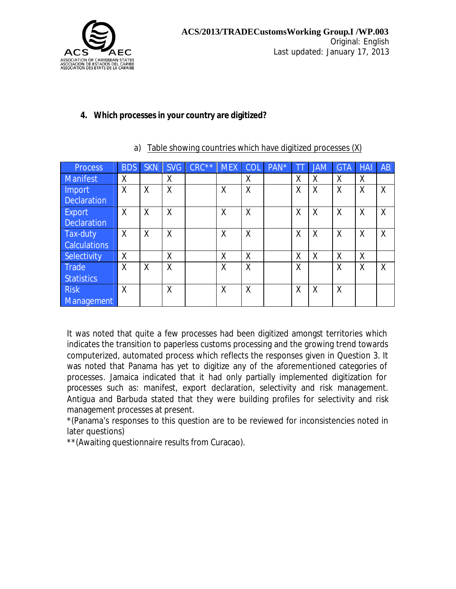

#### **4. Which processes in your country are digitized?**

| <b>Process</b>                      | <b>BDS</b>   | <b>SKN</b> | <b>SVG</b>   | $CRC***$ | <b>MEX</b> | COL                       | PAN* | ΤĪ | <b>JAM</b> | <b>GTA</b> | <b>HAI</b> | AB |
|-------------------------------------|--------------|------------|--------------|----------|------------|---------------------------|------|----|------------|------------|------------|----|
| <b>Manifest</b>                     | $\sf X$      |            | X            |          |            | X                         |      | Χ  | Χ          | X          | Χ          |    |
| <b>Import</b><br><b>Declaration</b> | X            | X          | X            |          | X          | $\sf X$                   |      | X  | Χ          | X          | X          | X  |
| <b>Export</b><br><b>Declaration</b> | X            | X          | X            |          | X          | X                         |      | X  | X          | X          | X          | X  |
| Tax-duty<br><b>Calculations</b>     | $\mathsf{X}$ | X          | $\mathsf{X}$ |          | X          | $\boldsymbol{\mathsf{X}}$ |      | X  | X          | $\times$   | X          | X  |
| Selectivity                         | X            |            | Χ            |          | X          | X                         |      | Χ  | X          | X          | X          |    |
| <b>Trade</b><br><b>Statistics</b>   | X            | X          | X            |          | X          | X                         |      | X  |            | X          | Χ          | X  |
| <b>Risk</b><br>Management           | X            |            | Χ            |          | X          | X                         |      | X  | Χ          | X          |            |    |

#### a) Table showing countries which have digitized processes (X)

It was noted that quite a few processes had been digitized amongst territories which indicates the transition to paperless customs processing and the growing trend towards computerized, automated process which reflects the responses given in Question 3. It was noted that Panama has yet to digitize any of the aforementioned categories of processes. Jamaica indicated that it had only partially implemented digitization for processes such as: manifest, export declaration, selectivity and risk management. Antigua and Barbuda stated that they were building profiles for selectivity and risk management processes at present.

\*(Panama's responses to this question are to be reviewed for inconsistencies noted in later questions)

\*\*(Awaiting questionnaire results from Curacao).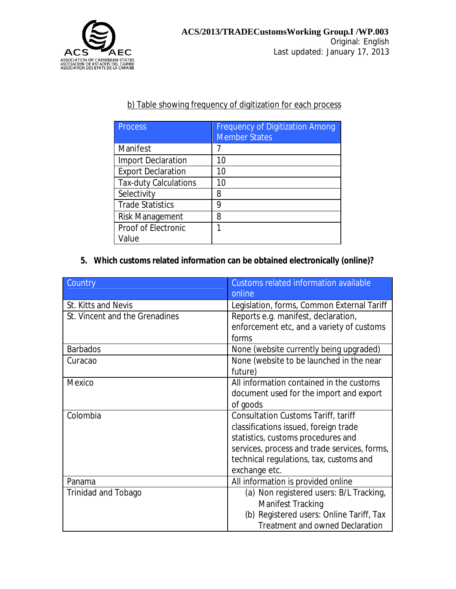

#### b) Table showing frequency of digitization for each process

| <b>Process</b>               | <b>Frequency of Digitization Among</b><br><b>Member States</b> |
|------------------------------|----------------------------------------------------------------|
| Manifest                     |                                                                |
| <b>Import Declaration</b>    | 10                                                             |
| <b>Export Declaration</b>    | 10                                                             |
| <b>Tax-duty Calculations</b> | 10                                                             |
| Selectivity                  | 8                                                              |
| <b>Trade Statistics</b>      | 9                                                              |
| <b>Risk Management</b>       | 8                                                              |
| Proof of Electronic          | 1                                                              |
| Value                        |                                                                |

## **5. Which customs related information can be obtained electronically (online)?**

| Country                        | <b>Customs related information available</b><br>online |
|--------------------------------|--------------------------------------------------------|
| St. Kitts and Nevis            | Legislation, forms, Common External Tariff             |
| St. Vincent and the Grenadines | Reports e.g. manifest, declaration,                    |
|                                | enforcement etc, and a variety of customs              |
|                                | forms                                                  |
| <b>Barbados</b>                | None (website currently being upgraded)                |
| Curacao                        | None (website to be launched in the near               |
|                                | future)                                                |
| Mexico                         | All information contained in the customs               |
|                                | document used for the import and export                |
|                                | of goods                                               |
| Colombia                       | <b>Consultation Customs Tariff, tariff</b>             |
|                                | classifications issued, foreign trade                  |
|                                | statistics, customs procedures and                     |
|                                | services, process and trade services, forms,           |
|                                | technical regulations, tax, customs and                |
|                                | exchange etc.                                          |
| Panama                         | All information is provided online                     |
| Trinidad and Tobago            | (a) Non registered users: B/L Tracking,                |
|                                | Manifest Tracking                                      |
|                                | (b) Registered users: Online Tariff, Tax               |
|                                | <b>Treatment and owned Declaration</b>                 |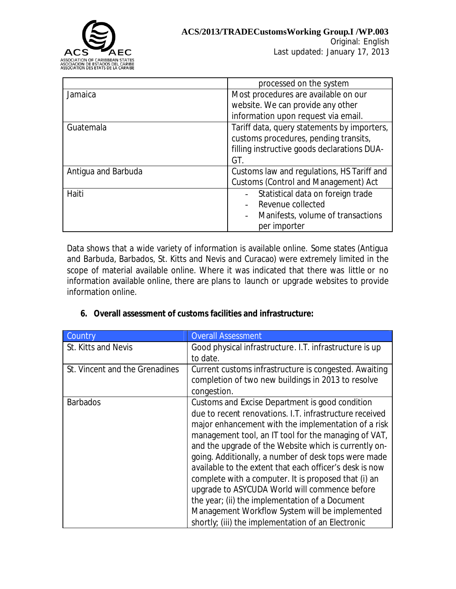

Original: English Last updated: January 17, 2013

|                     | processed on the system                     |
|---------------------|---------------------------------------------|
| Jamaica             | Most procedures are available on our        |
|                     | website. We can provide any other           |
|                     | information upon request via email.         |
| Guatemala           | Tariff data, query statements by importers, |
|                     | customs procedures, pending transits,       |
|                     | filling instructive goods declarations DUA- |
|                     | GT.                                         |
| Antigua and Barbuda | Customs law and regulations, HS Tariff and  |
|                     | <b>Customs (Control and Management) Act</b> |
| Haiti               | Statistical data on foreign trade           |
|                     | Revenue collected                           |
|                     | Manifests, volume of transactions           |
|                     | per importer                                |

Data shows that a wide variety of information is available online. Some states (Antigua and Barbuda, Barbados, St. Kitts and Nevis and Curacao) were extremely limited in the scope of material available online. Where it was indicated that there was little or no information available online, there are plans to launch or upgrade websites to provide information online.

|  |  |  |  |  | 6. Overall assessment of customs facilities and infrastructure: |
|--|--|--|--|--|-----------------------------------------------------------------|
|--|--|--|--|--|-----------------------------------------------------------------|

| Country                        | <b>Overall Assessment</b>                                                                                                  |
|--------------------------------|----------------------------------------------------------------------------------------------------------------------------|
| St. Kitts and Nevis            | Good physical infrastructure. I.T. infrastructure is up                                                                    |
|                                | to date.                                                                                                                   |
| St. Vincent and the Grenadines | Current customs infrastructure is congested. Awaiting<br>completion of two new buildings in 2013 to resolve<br>congestion. |
| <b>Barbados</b>                | Customs and Excise Department is good condition                                                                            |
|                                | due to recent renovations. I.T. infrastructure received                                                                    |
|                                | major enhancement with the implementation of a risk                                                                        |
|                                | management tool, an IT tool for the managing of VAT,<br>and the upgrade of the Website which is currently on-              |
|                                | going. Additionally, a number of desk tops were made                                                                       |
|                                | available to the extent that each officer's desk is now                                                                    |
|                                | complete with a computer. It is proposed that (i) an                                                                       |
|                                | upgrade to ASYCUDA World will commence before                                                                              |
|                                | the year; (ii) the implementation of a Document                                                                            |
|                                | Management Workflow System will be implemented                                                                             |
|                                | shortly; (iii) the implementation of an Electronic                                                                         |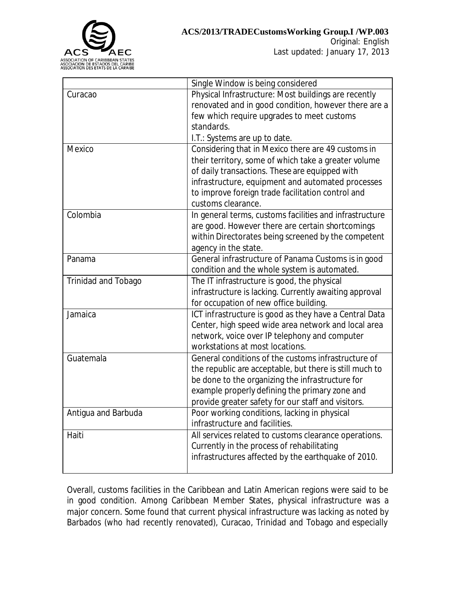

Original: English Last updated: January 17, 2013

|                            | Single Window is being considered                       |
|----------------------------|---------------------------------------------------------|
| Curacao                    | Physical Infrastructure: Most buildings are recently    |
|                            | renovated and in good condition, however there are a    |
|                            | few which require upgrades to meet customs              |
|                            | standards.                                              |
|                            | I.T.: Systems are up to date.                           |
| Mexico                     | Considering that in Mexico there are 49 customs in      |
|                            | their territory, some of which take a greater volume    |
|                            | of daily transactions. These are equipped with          |
|                            | infrastructure, equipment and automated processes       |
|                            | to improve foreign trade facilitation control and       |
|                            | customs clearance.                                      |
| Colombia                   | In general terms, customs facilities and infrastructure |
|                            | are good. However there are certain shortcomings        |
|                            | within Directorates being screened by the competent     |
|                            | agency in the state.                                    |
| Panama                     | General infrastructure of Panama Customs is in good     |
|                            | condition and the whole system is automated.            |
| <b>Trinidad and Tobago</b> | The IT infrastructure is good, the physical             |
|                            | infrastructure is lacking. Currently awaiting approval  |
|                            | for occupation of new office building.                  |
| Jamaica                    | ICT infrastructure is good as they have a Central Data  |
|                            | Center, high speed wide area network and local area     |
|                            | network, voice over IP telephony and computer           |
|                            | workstations at most locations.                         |
| Guatemala                  | General conditions of the customs infrastructure of     |
|                            | the republic are acceptable, but there is still much to |
|                            | be done to the organizing the infrastructure for        |
|                            | example properly defining the primary zone and          |
|                            | provide greater safety for our staff and visitors.      |
| Antigua and Barbuda        | Poor working conditions, lacking in physical            |
|                            | infrastructure and facilities.                          |
| Haiti                      | All services related to customs clearance operations.   |
|                            | Currently in the process of rehabilitating              |
|                            | infrastructures affected by the earthquake of 2010.     |
|                            |                                                         |

Overall, customs facilities in the Caribbean and Latin American regions were said to be in good condition. Among Caribbean Member States, physical infrastructure was a major concern. Some found that current physical infrastructure was lacking as noted by Barbados (who had recently renovated), Curacao, Trinidad and Tobago and especially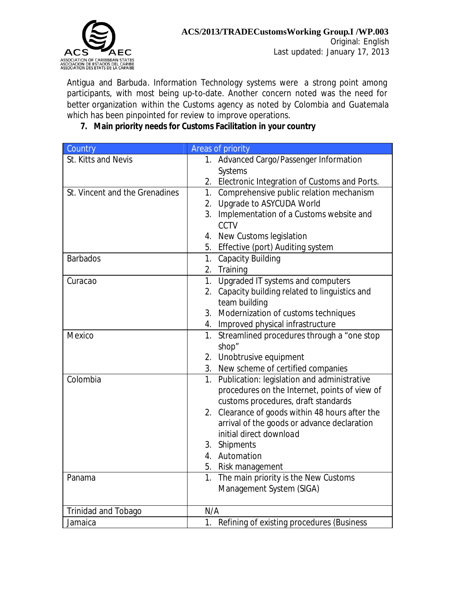

Antigua and Barbuda. Information Technology systems were a strong point among participants, with most being up-to-date. Another concern noted was the need for better organization within the Customs agency as noted by Colombia and Guatemala which has been pinpointed for review to improve operations.

## **7. Main priority needs for Customs Facilitation in your country**

| Country                        | Areas of priority                                            |
|--------------------------------|--------------------------------------------------------------|
| St. Kitts and Nevis            | 1. Advanced Cargo/Passenger Information                      |
|                                | Systems                                                      |
|                                | 2. Electronic Integration of Customs and Ports.              |
| St. Vincent and the Grenadines | 1. Comprehensive public relation mechanism                   |
|                                | Upgrade to ASYCUDA World<br>2.                               |
|                                | Implementation of a Customs website and<br>3.                |
|                                | CCTV                                                         |
|                                | 4. New Customs legislation                                   |
|                                | Effective (port) Auditing system<br>5.                       |
| <b>Barbados</b>                | <b>Capacity Building</b><br>1.                               |
|                                | 2. Training                                                  |
| Curacao                        | 1. Upgraded IT systems and computers                         |
|                                | 2. Capacity building related to linguistics and              |
|                                | team building                                                |
|                                | 3. Modernization of customs techniques                       |
|                                | 4. Improved physical infrastructure                          |
| Mexico                         | Streamlined procedures through a "one stop<br>1 <sub>1</sub> |
|                                | shop"                                                        |
|                                | 2. Unobtrusive equipment                                     |
|                                | 3. New scheme of certified companies                         |
| Colombia                       | 1. Publication: legislation and administrative               |
|                                | procedures on the Internet, points of view of                |
|                                | customs procedures, draft standards                          |
|                                | 2. Clearance of goods within 48 hours after the              |
|                                | arrival of the goods or advance declaration                  |
|                                | initial direct download                                      |
|                                | 3. Shipments                                                 |
|                                | 4. Automation                                                |
|                                | 5. Risk management                                           |
| Panama                         | The main priority is the New Customs<br>1.                   |
|                                | Management System (SIGA)                                     |
| Trinidad and Tobago            | N/A                                                          |
| Jamaica                        | 1.<br>Refining of existing procedures (Business              |